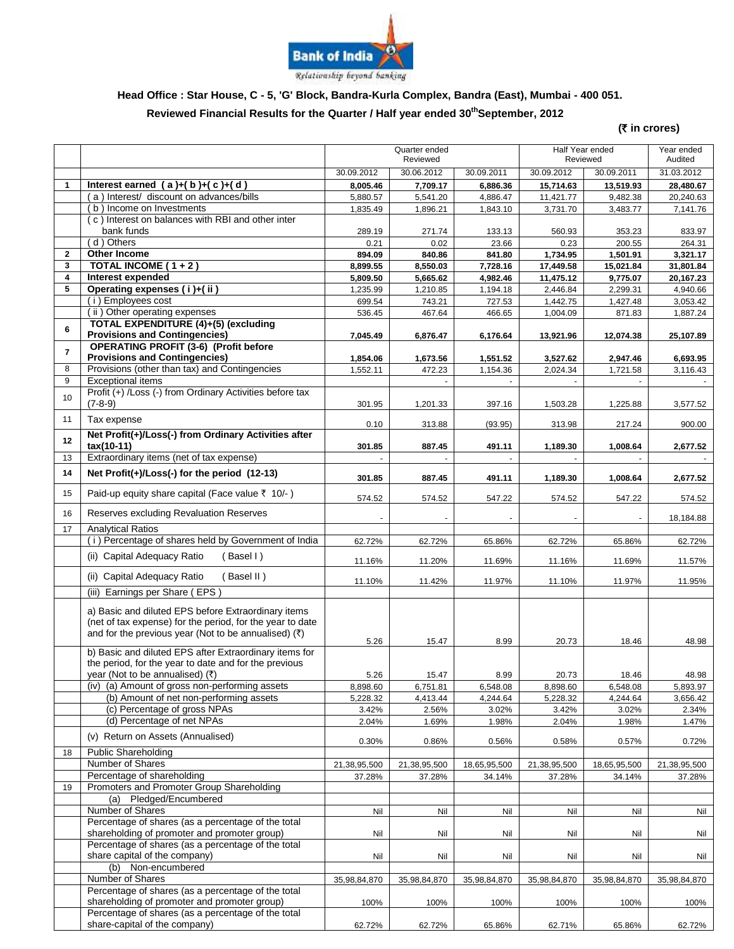

# **Head Office : Star House, C - 5, 'G' Block, Bandra-Kurla Complex, Bandra (East), Mumbai - 400 051.**

#### **Reviewed Financial Results for the Quarter / Half year ended 30 thSeptember, 2012**

**(**` **in crores)**

|                         |                                                                                                                                                                            | Quarter ended<br>Reviewed |                    | Half Year ended<br>Reviewed |                    | Year ended<br>Audited |                    |
|-------------------------|----------------------------------------------------------------------------------------------------------------------------------------------------------------------------|---------------------------|--------------------|-----------------------------|--------------------|-----------------------|--------------------|
|                         |                                                                                                                                                                            | 30.09.2012                | 30.06.2012         | 30.09.2011                  | 30.09.2012         | 30.09.2011            | 31.03.2012         |
| 1                       | Interest earned $(a)+(b)+(c)+(d)$                                                                                                                                          | 8,005.46                  | 7,709.17           | 6,886.36                    | 15,714.63          | 13,519.93             | 28,480.67          |
|                         | (a) Interest/ discount on advances/bills                                                                                                                                   | 5,880.57                  | 5,541.20           | 4,886.47                    | 11,421.77          | 9,482.38              | 20,240.63          |
|                         | (b) Income on Investments                                                                                                                                                  | 1,835.49                  | 1,896.21           | 1,843.10                    | 3,731.70           | 3,483.77              | 7,141.76           |
|                         | (c) Interest on balances with RBI and other inter<br>bank funds                                                                                                            | 289.19                    | 271.74             | 133.13                      | 560.93             | 353.23                | 833.97             |
|                         | (d) Others                                                                                                                                                                 | 0.21                      | 0.02               | 23.66                       | 0.23               | 200.55                | 264.31             |
| $\mathbf 2$             | Other Income                                                                                                                                                               | 894.09                    | 840.86             | 841.80                      | 1,734.95           | 1,501.91              | 3.321.17           |
| 3                       | TOTAL INCOME ( $1 + 2$ )                                                                                                                                                   | 8,899.55                  | 8,550.03           | 7,728.16                    | 17,449.58          | 15,021.84             | 31,801.84          |
| 4                       | Interest expended                                                                                                                                                          | 5,809.50                  | 5,665.62           | 4,982.46                    | 11,475.12          | 9,775.07              | 20,167.23          |
| 5                       | Operating expenses (i)+(ii)                                                                                                                                                | 1,235.99                  | 1,210.85           | 1,194.18                    | 2,446.84           | 2,299.31              | 4,940.66           |
|                         | (i) Employees cost                                                                                                                                                         | 699.54                    | 743.21             | 727.53                      | 1,442.75           | 1,427.48              | 3,053.42           |
| 6                       | (ii) Other operating expenses<br>TOTAL EXPENDITURE (4)+(5) (excluding                                                                                                      | 536.45                    | 467.64             | 466.65                      | 1,004.09           | 871.83                | 1,887.24           |
|                         | <b>Provisions and Contingencies)</b><br><b>OPERATING PROFIT (3-6) (Profit before</b>                                                                                       | 7,045.49                  | 6,876.47           | 6,176.64                    | 13,921.96          | 12,074.38             | 25,107.89          |
| $\overline{\mathbf{r}}$ | <b>Provisions and Contingencies)</b>                                                                                                                                       | 1,854.06                  | 1,673.56           | 1,551.52                    | 3,527.62           | 2,947.46              | 6,693.95           |
| 8                       | Provisions (other than tax) and Contingencies                                                                                                                              | 1,552.11                  | 472.23             | 1,154.36                    | 2,024.34           | 1,721.58              | 3,116.43           |
| 9                       | Exceptional items                                                                                                                                                          |                           |                    |                             |                    |                       |                    |
| 10                      | Profit (+) /Loss (-) from Ordinary Activities before tax<br>$(7-8-9)$                                                                                                      |                           |                    | 397.16                      |                    |                       |                    |
| 11                      | Tax expense                                                                                                                                                                | 301.95<br>0.10            | 1,201.33<br>313.88 | (93.95)                     | 1,503.28<br>313.98 | 1,225.88<br>217.24    | 3,577.52<br>900.00 |
| 12                      | Net Profit(+)/Loss(-) from Ordinary Activities after                                                                                                                       |                           |                    |                             |                    |                       |                    |
| 13                      | tax(10-11)<br>Extraordinary items (net of tax expense)                                                                                                                     | 301.85                    | 887.45             | 491.11                      | 1,189.30           | 1,008.64              | 2,677.52           |
|                         |                                                                                                                                                                            |                           |                    |                             |                    |                       |                    |
| 14                      | Net $Profit(+) / Loss(-)$ for the period $(12-13)$                                                                                                                         | 301.85                    | 887.45             | 491.11                      | 1,189.30           | 1,008.64              | 2,677.52           |
| 15                      | Paid-up equity share capital (Face value ₹ 10/-)                                                                                                                           | 574.52                    | 574.52             | 547.22                      | 574.52             | 547.22                | 574.52             |
| 16<br>17                | Reserves excluding Revaluation Reserves<br><b>Analytical Ratios</b>                                                                                                        |                           |                    |                             |                    |                       | 18,184.88          |
|                         | (i) Percentage of shares held by Government of India                                                                                                                       | 62.72%                    | 62.72%             | 65.86%                      | 62.72%             | 65.86%                | 62.72%             |
|                         | (ii) Capital Adequacy Ratio<br>(Basel I)                                                                                                                                   | 11.16%                    | 11.20%             | 11.69%                      | 11.16%             | 11.69%                | 11.57%             |
|                         | (ii) Capital Adequacy Ratio<br>(Basel II)                                                                                                                                  | 11.10%                    | 11.42%             | 11.97%                      | 11.10%             | 11.97%                | 11.95%             |
|                         | Earnings per Share (EPS)<br>(iii)                                                                                                                                          |                           |                    |                             |                    |                       |                    |
|                         | a) Basic and diluted EPS before Extraordinary items<br>(net of tax expense) for the period, for the year to date<br>and for the previous year (Not to be annualised) $(3)$ | 5.26                      | 15.47              | 8.99                        | 20.73              | 18.46                 | 48.98              |
|                         | b) Basic and diluted EPS after Extraordinary items for                                                                                                                     |                           |                    |                             |                    |                       |                    |
|                         | the period, for the year to date and for the previous                                                                                                                      |                           |                    |                             |                    |                       |                    |
|                         | year (Not to be annualised) (₹)                                                                                                                                            | 5.26                      | 15.47              | 8.99                        | 20.73              | 18.46                 | 48.98              |
|                         | (iv) (a) Amount of gross non-performing assets                                                                                                                             | 8,898.60                  | 6,751.81           | 6,548.08                    | 8,898.60           | 6,548.08              | 5,893.97           |
|                         | (b) Amount of net non-performing assets                                                                                                                                    | 5,228.32                  | 4,413.44           | 4,244.64                    | 5,228.32           | 4,244.64              | 3,656.42           |
|                         | (c) Percentage of gross NPAs                                                                                                                                               | 3.42%                     | 2.56%              | 3.02%                       | 3.42%              | 3.02%                 | 2.34%              |
|                         | (d) Percentage of net NPAs                                                                                                                                                 | 2.04%                     | 1.69%              | 1.98%                       | 2.04%              | 1.98%                 | 1.47%              |
| 18                      | (v) Return on Assets (Annualised)<br><b>Public Shareholding</b>                                                                                                            | 0.30%                     | 0.86%              | 0.56%                       | 0.58%              | 0.57%                 | 0.72%              |
|                         | Number of Shares                                                                                                                                                           | 21,38,95,500              | 21,38,95,500       | 18,65,95,500                | 21,38,95,500       | 18,65,95,500          | 21,38,95,500       |
|                         | Percentage of shareholding                                                                                                                                                 | 37.28%                    | 37.28%             | 34.14%                      | 37.28%             | 34.14%                | 37.28%             |
| 19                      | Promoters and Promoter Group Shareholding                                                                                                                                  |                           |                    |                             |                    |                       |                    |
|                         | (a) Pledged/Encumbered                                                                                                                                                     |                           |                    |                             |                    |                       |                    |
|                         | Number of Shares                                                                                                                                                           | Nil                       | Nil                | Nil                         | Nil                | Nil                   | Nil                |
|                         | Percentage of shares (as a percentage of the total<br>shareholding of promoter and promoter group)                                                                         | Nil                       | Nil                | Nil                         | Nil                | Nil                   | Nil                |
|                         | Percentage of shares (as a percentage of the total                                                                                                                         |                           |                    |                             |                    |                       |                    |
|                         | share capital of the company)<br>(b) Non-encumbered                                                                                                                        | Nil                       | Nil                | Nil                         | Nil                | Nil                   | Nil                |
|                         | Number of Shares                                                                                                                                                           | 35,98,84,870              | 35,98,84,870       | 35,98,84,870                | 35,98,84,870       | 35,98,84,870          | 35,98,84,870       |
|                         | Percentage of shares (as a percentage of the total                                                                                                                         |                           |                    |                             |                    |                       |                    |
|                         | shareholding of promoter and promoter group)                                                                                                                               | 100%                      | 100%               | 100%                        | 100%               | 100%                  | 100%               |
|                         | Percentage of shares (as a percentage of the total                                                                                                                         |                           |                    |                             |                    |                       |                    |
|                         | share-capital of the company)                                                                                                                                              | 62.72%                    | 62.72%             | 65.86%                      | 62.71%             | 65.86%                | 62.72%             |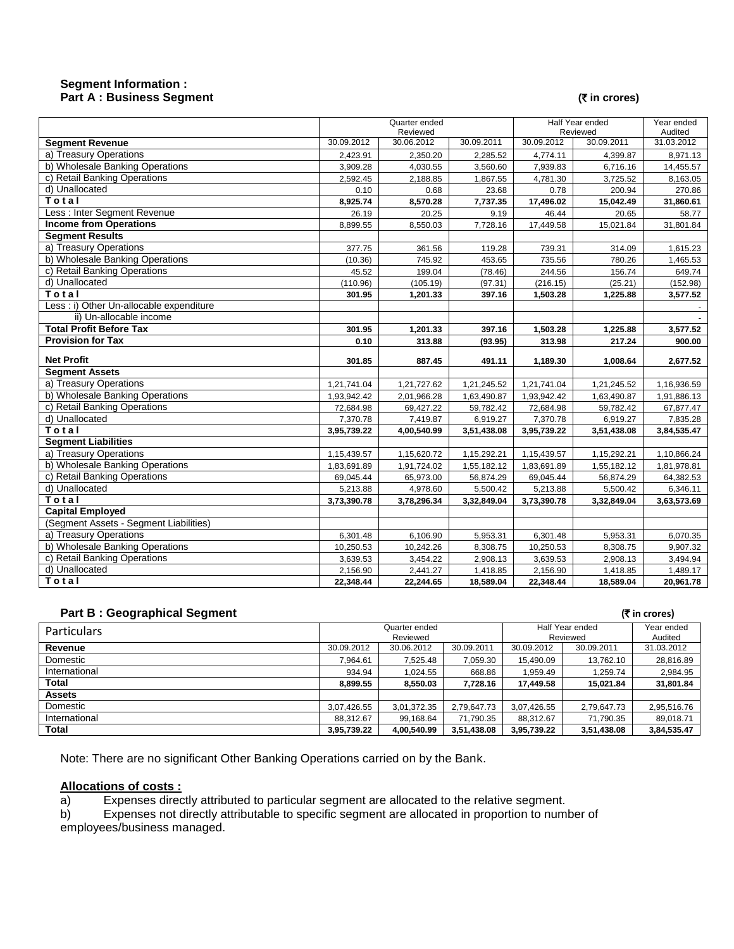#### **Segment Information : Part A : Business Segment (₹** in crores)

|                                         | Quarter ended<br>Reviewed |                       | Half Year ended<br>Reviewed |                       | Year ended<br>Audited |                       |
|-----------------------------------------|---------------------------|-----------------------|-----------------------------|-----------------------|-----------------------|-----------------------|
| <b>Segment Revenue</b>                  | 30.09.2012                | 30.06.2012            | 30.09.2011                  | 30.09.2012            | 30.09.2011            | 31.03.2012            |
| a) Treasury Operations                  | 2,423.91                  | 2,350.20              | 2,285.52                    | 4,774.11              | 4,399.87              | 8,971.13              |
| b) Wholesale Banking Operations         | 3,909.28                  | 4,030.55              | 3,560.60                    | 7,939.83              | 6,716.16              | 14,455.57             |
| c) Retail Banking Operations            | 2,592.45                  | 2,188.85              | 1,867.55                    | 4,781.30              | 3,725.52              | 8,163.05              |
| d) Unallocated                          | 0.10                      | 0.68                  | 23.68                       | 0.78                  | 200.94                | 270.86                |
| Total                                   | 8,925.74                  | 8,570.28              | 7,737.35                    | 17,496.02             | 15,042.49             | 31,860.61             |
| Less : Inter Segment Revenue            | 26.19                     | 20.25                 | 9.19                        | 46.44                 | 20.65                 | 58.77                 |
| <b>Income from Operations</b>           | 8,899.55                  | 8,550.03              | 7,728.16                    | 17,449.58             | 15,021.84             | 31,801.84             |
| <b>Segment Results</b>                  |                           |                       |                             |                       |                       |                       |
| a) Treasury Operations                  | 377.75                    | 361.56                | 119.28                      | 739.31                | 314.09                | 1,615.23              |
| b) Wholesale Banking Operations         | (10.36)                   | 745.92                | 453.65                      | 735.56                | 780.26                | 1,465.53              |
| c) Retail Banking Operations            | 45.52                     | 199.04                | (78.46)                     | 244.56                | 156.74                | 649.74                |
| d) Unallocated                          | (110.96)                  | (105.19)              | (97.31)                     | (216.15)              | (25.21)               | (152.98)              |
| Total                                   | 301.95                    | 1,201.33              | 397.16                      | 1,503.28              | 1,225.88              | 3,577.52              |
| Less: i) Other Un-allocable expenditure |                           |                       |                             |                       |                       |                       |
| ii) Un-allocable income                 |                           |                       |                             |                       |                       |                       |
| <b>Total Profit Before Tax</b>          | 301.95                    | 1,201.33              | 397.16                      | 1,503.28              | 1,225.88              | 3,577.52              |
| <b>Provision for Tax</b>                | 0.10                      | 313.88                | (93.95)                     | 313.98                | 217.24                | 900.00                |
|                                         |                           |                       |                             |                       |                       |                       |
| <b>Net Profit</b>                       | 301.85                    | 887.45                | 491.11                      | 1,189.30              | 1,008.64              | 2,677.52              |
| <b>Segment Assets</b>                   |                           |                       |                             |                       |                       |                       |
| a) Treasury Operations                  | 1,21,741.04               | 1,21,727.62           | 1,21,245.52                 | 1,21,741.04           | 1,21,245.52           | 1,16,936.59           |
| b) Wholesale Banking Operations         | 1,93,942.42               | 2,01,966.28           | 1,63,490.87                 | 1,93,942.42           | 1,63,490.87           | 1,91,886.13           |
| c) Retail Banking Operations            | 72,684.98                 | 69,427.22             | 59,782.42                   | 72,684.98             | 59,782.42             | 67,877.47             |
| d) Unallocated                          | 7,370.78                  | 7,419.87              | 6,919.27                    | 7,370.78              | 6,919.27              | 7,835.28              |
| Total                                   | 3,95,739.22               | 4,00,540.99           | 3,51,438.08                 | 3,95,739.22           | 3,51,438.08           | 3,84,535.47           |
| <b>Segment Liabilities</b>              |                           |                       |                             |                       |                       |                       |
| a) Treasury Operations                  | 1,15,439.57               | 1,15,620.72           | 1,15,292.21                 | 1,15,439.57           | 1,15,292.21           | 1,10,866.24           |
| b) Wholesale Banking Operations         | 1,83,691.89               | 1,91,724.02           | 1,55,182.12                 | 1,83,691.89           | 1,55,182.12           | 1,81,978.81           |
| c) Retail Banking Operations            | 69,045.44                 | 65,973.00             | 56,874.29                   | 69,045.44             | 56,874.29             | 64,382.53             |
| d) Unallocated                          | 5,213.88                  | 4,978.60              | 5,500.42                    | 5,213.88              | 5,500.42              | 6,346.11              |
| Total                                   | 3,73,390.78               | 3,78,296.34           | 3,32,849.04                 | 3,73,390.78           | 3,32,849.04           | 3,63,573.69           |
| <b>Capital Employed</b>                 |                           |                       |                             |                       |                       |                       |
| (Segment Assets - Segment Liabilities)  |                           |                       |                             |                       |                       |                       |
| a) Treasury Operations                  | 6,301.48                  | 6,106.90              | 5,953.31                    | 6,301.48              | 5,953.31              | 6,070.35              |
| b) Wholesale Banking Operations         | 10,250.53                 | 10,242.26             | 8,308.75                    | 10,250.53             | 8,308.75              | 9,907.32              |
| c) Retail Banking Operations            | 3,639.53                  | 3,454.22              | 2,908.13                    | 3,639.53              | 2,908.13              | 3,494.94              |
| d) Unallocated<br>Total                 | 2,156.90<br>22,348.44     | 2,441.27<br>22,244.65 | 1,418.85<br>18,589.04       | 2,156.90<br>22,348.44 | 1,418.85<br>18,589.04 | 1,489.17<br>20,961.78 |

### **Part B : Geographical Segment (**` **in crores)**

| ----<br>.     |                           |             |                             |             |                       |             |
|---------------|---------------------------|-------------|-----------------------------|-------------|-----------------------|-------------|
| Particulars   | Quarter ended<br>Reviewed |             | Half Year ended<br>Reviewed |             | Year ended<br>Audited |             |
| Revenue       | 30.09.2012                | 30.06.2012  | 30.09.2011                  | 30.09.2012  | 30.09.2011            | 31.03.2012  |
| Domestic      | 7.964.61                  | 7.525.48    | 7.059.30                    | 15.490.09   | 13,762.10             | 28,816.89   |
| International | 934.94                    | 1.024.55    | 668.86                      | 1.959.49    | 1.259.74              | 2,984.95    |
| Total         | 8.899.55                  | 8.550.03    | 7.728.16                    | 17.449.58   | 15,021.84             | 31,801.84   |
| <b>Assets</b> |                           |             |                             |             |                       |             |
| Domestic      | 3,07,426.55               | 3,01,372.35 | 2.79.647.73                 | 3.07.426.55 | 2,79,647.73           | 2,95,516.76 |
| International | 88.312.67                 | 99.168.64   | 71.790.35                   | 88.312.67   | 71.790.35             | 89,018.71   |
| Total         | 3,95,739.22               | 4,00,540.99 | 3,51,438.08                 | 3,95,739.22 | 3,51,438.08           | 3,84,535.47 |

Note: There are no significant Other Banking Operations carried on by the Bank.

## **Allocations of costs :**

a) Expenses directly attributed to particular segment are allocated to the relative segment.

b) Expenses not directly attributable to specific segment are allocated in proportion to number of employees/business managed.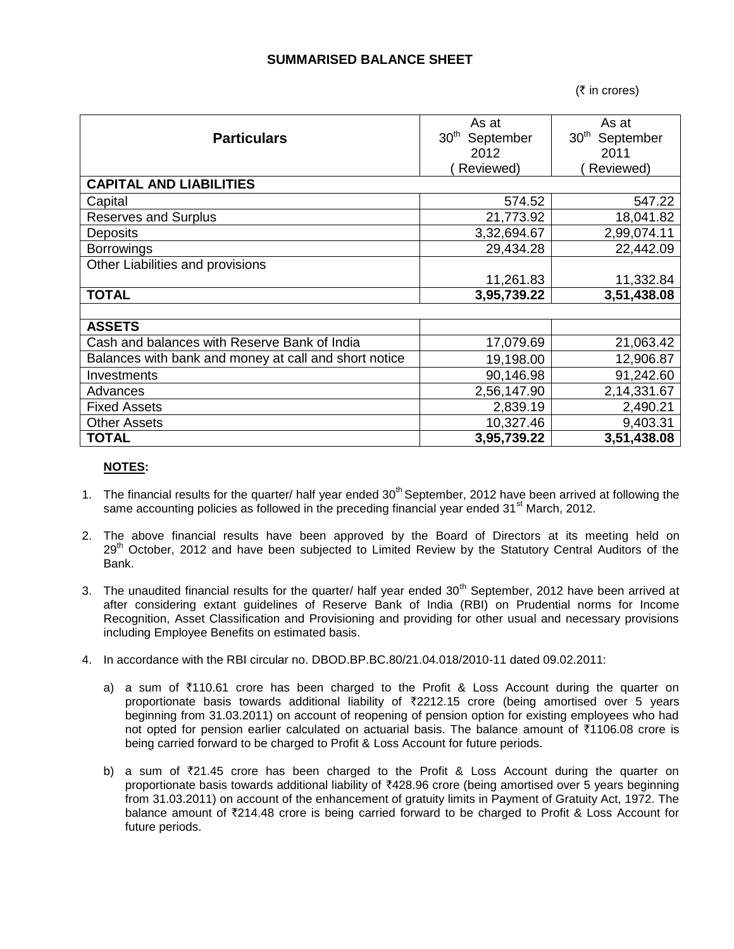# **SUMMARISED BALANCE SHEET**

 $($ ₹ in crores)

| <b>Particulars</b>                                    | As at<br>30 <sup>th</sup><br>September<br>2012<br>Reviewed) | As at<br>30 <sup>th</sup><br>September<br>2011<br>Reviewed) |  |
|-------------------------------------------------------|-------------------------------------------------------------|-------------------------------------------------------------|--|
| <b>CAPITAL AND LIABILITIES</b>                        |                                                             |                                                             |  |
| Capital                                               | 574.52                                                      | 547.22                                                      |  |
| <b>Reserves and Surplus</b>                           | 21,773.92                                                   | 18,041.82                                                   |  |
| <b>Deposits</b>                                       | 3,32,694.67                                                 | 2,99,074.11                                                 |  |
| <b>Borrowings</b>                                     | 29,434.28                                                   | 22,442.09                                                   |  |
| Other Liabilities and provisions                      |                                                             |                                                             |  |
|                                                       | 11,261.83                                                   | 11,332.84                                                   |  |
| <b>TOTAL</b>                                          | 3,95,739.22                                                 | 3,51,438.08                                                 |  |
|                                                       |                                                             |                                                             |  |
| <b>ASSETS</b>                                         |                                                             |                                                             |  |
| Cash and balances with Reserve Bank of India          | 17,079.69                                                   | 21,063.42                                                   |  |
| Balances with bank and money at call and short notice | 19,198.00                                                   | 12,906.87                                                   |  |
| Investments                                           | 90,146.98                                                   | 91,242.60                                                   |  |
| Advances                                              | 2,56,147.90                                                 | 2,14,331.67                                                 |  |
| <b>Fixed Assets</b>                                   | 2,839.19                                                    | 2,490.21                                                    |  |
| <b>Other Assets</b>                                   | 10,327.46                                                   | 9,403.31                                                    |  |
| <b>TOTAL</b>                                          | 3,95,739.22                                                 | 3,51,438.08                                                 |  |

### **NOTES:**

- 1. The financial results for the quarter/ half year ended  $30<sup>th</sup>$  September, 2012 have been arrived at following the same accounting policies as followed in the preceding financial year ended  $31<sup>st</sup>$  March, 2012.
- 2. The above financial results have been approved by the Board of Directors at its meeting held on 29<sup>th</sup> October, 2012 and have been subjected to Limited Review by the Statutory Central Auditors of the Bank.
- 3. The unaudited financial results for the quarter/ half year ended 30<sup>th</sup> September, 2012 have been arrived at after considering extant guidelines of Reserve Bank of India (RBI) on Prudential norms for Income Recognition, Asset Classification and Provisioning and providing for other usual and necessary provisions including Employee Benefits on estimated basis.
- 4. In accordance with the RBI circular no. DBOD.BP.BC.80/21.04.018/2010-11 dated 09.02.2011:
	- a) a sum of ₹110.61 crore has been charged to the Profit & Loss Account during the quarter on proportionate basis towards additional liability of  $\overline{z}$ 2212.15 crore (being amortised over 5 years beginning from 31.03.2011) on account of reopening of pension option for existing employees who had not opted for pension earlier calculated on actuarial basis. The balance amount of ₹1106.08 crore is being carried forward to be charged to Profit & Loss Account for future periods.
	- b) a sum of  $\overline{z}21.45$  crore has been charged to the Profit & Loss Account during the quarter on proportionate basis towards additional liability of ₹428.96 crore (being amortised over 5 years beginning from 31.03.2011) on account of the enhancement of gratuity limits in Payment of Gratuity Act, 1972. The balance amount of  $\overline{z}$ 214.48 crore is being carried forward to be charged to Profit & Loss Account for future periods.